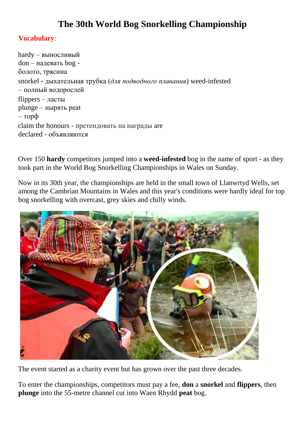## **The 30th World Bog Snorkelling Championship**

## **Vocabulary**:

hardy – выносливый don – надевать bog болото, трясина snorkel - дыхательная трубка (*для подводного плавания*) weed-infested – полный водорослей flippers – ласты plunge – нырять peat – торф claim the honours - претендовать на награды are declared - объявляются

Over 150 **hardy** competitors jumped into a **weed-infested** bog in the name of sport - as they took part in the World Bog Snorkelling Championships in Wales on Sunday.

Now in its 30th year, the championships are held in the small town of Llanwrtyd Wells, set among the Cambrian Mountains in Wales and this year's conditions were hardly ideal for top bog snorkelling with overcast, grey skies and chilly winds.



The event started as a charity event but has grown over the past three decades.

To enter the championships, competitors must pay a fee, **don** a **snorkel** and **flippers**, then **plunge** into the 55-metre channel cut into Waen Rhydd **peat** bog.